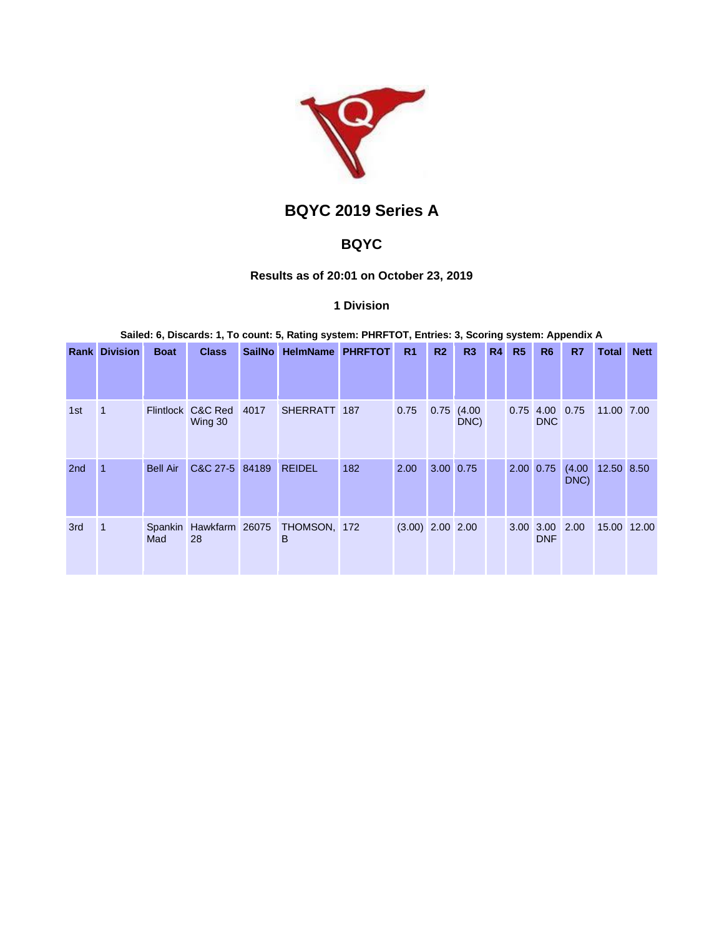

# **BQYC 2019 Series A**

# **BQYC**

## **Results as of 20:01 on October 23, 2019**

## **1 Division**

**Sailed: 6, Discards: 1, To count: 5, Rating system: PHRFTOT, Entries: 3, Scoring system: Appendix A**

|                 | <b>Rank Division</b> | <b>Boat</b>     | <b>Class</b>                 | <b>SailNo</b> | <b>HelmName</b>                          | <b>PHRFTOT</b> | R <sub>1</sub>     | R <sub>2</sub> | R3             | <b>R4</b> | R <sub>5</sub> | R <sub>6</sub>               | R7   | Total                    | <b>Nett</b> |
|-----------------|----------------------|-----------------|------------------------------|---------------|------------------------------------------|----------------|--------------------|----------------|----------------|-----------|----------------|------------------------------|------|--------------------------|-------------|
|                 |                      |                 |                              |               |                                          |                |                    |                |                |           |                |                              |      |                          |             |
| 1st             | 1                    |                 | Flintlock C&C Red<br>Wing 30 | 4017          | SHERRATT 187                             |                | 0.75               | 0.75           | (4.00)<br>DNC) |           |                | 0.75 4.00 0.75<br>DNC        |      | 11.00 7.00               |             |
| 2 <sub>nd</sub> |                      | <b>Bell Air</b> | C&C 27-5 84189               |               | <b>REIDEL</b>                            | 182            | 2.00               | 3.00 0.75      |                |           |                | 2.00 0.75                    | DNC) | $(4.00 \t 12.50 \t 8.50$ |             |
| 3rd             | 1                    | Mad             | 28                           |               | Spankin Hawkfarm 26075 THOMSON, 172<br>B |                | $(3.00)$ 2.00 2.00 |                |                |           |                | 3.00 3.00 2.00<br><b>DNF</b> |      |                          | 15.00 12.00 |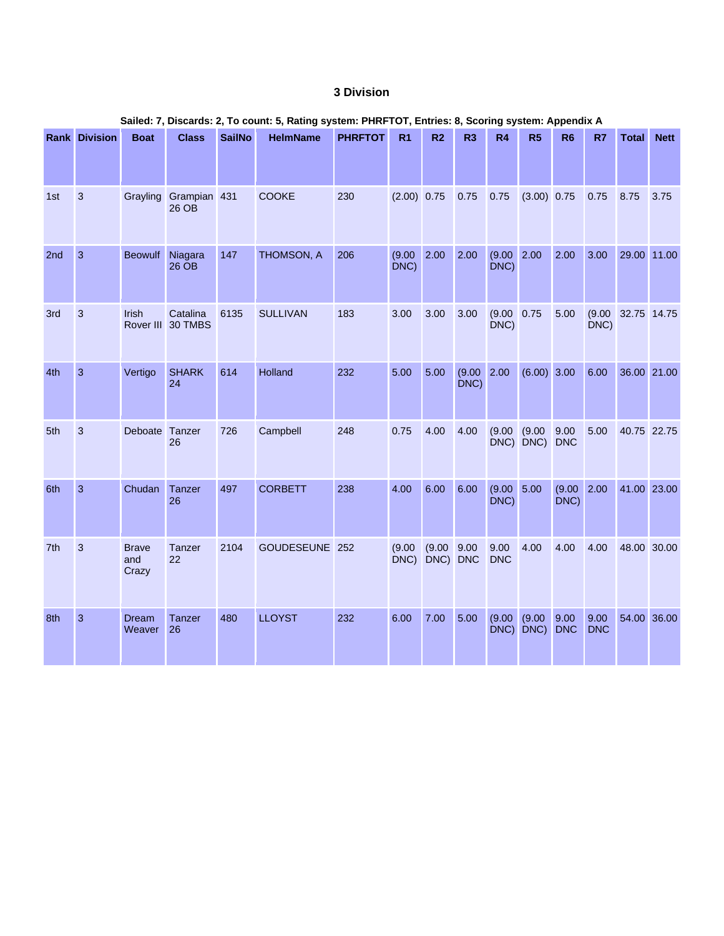## **3 Division**

|     | Salied: 7, Discards: 2, To count: 5, Rating system: PHRFTOT, Entries: 8, Scoring system: Appendix A |                              |                               |               |                 |                |                |                    |                |                        |                         |                     |                    |             |             |
|-----|-----------------------------------------------------------------------------------------------------|------------------------------|-------------------------------|---------------|-----------------|----------------|----------------|--------------------|----------------|------------------------|-------------------------|---------------------|--------------------|-------------|-------------|
|     | <b>Rank Division</b>                                                                                | <b>Boat</b>                  | <b>Class</b>                  | <b>SailNo</b> | <b>HelmName</b> | <b>PHRFTOT</b> | R1             | R <sub>2</sub>     | R <sub>3</sub> | R4                     | R <sub>5</sub>          | R <sub>6</sub>      | R7                 | Total       | <b>Nett</b> |
| 1st | $\overline{3}$                                                                                      | Grayling                     | Grampian 431<br>26 OB         |               | <b>COOKE</b>    | 230            | $(2.00)$ 0.75  |                    | 0.75           | 0.75                   | $(3.00)$ 0.75           |                     | 0.75               | 8.75        | 3.75        |
| 2nd | $\overline{3}$                                                                                      | <b>Beowulf</b>               | Niagara<br>26 OB              | 147           | THOMSON, A      | 206            | (9.00)<br>DNC) | 2.00               | 2.00           | $(9.00 \ 2.00$<br>DNC) |                         | 2.00                | 3.00               | 29.00 11.00 |             |
| 3rd | $\mathbf{3}$                                                                                        | <b>Irish</b>                 | Catalina<br>Rover III 30 TMBS | 6135          | <b>SULLIVAN</b> | 183            | 3.00           | 3.00               | 3.00           | (9.00)<br>DNC)         | 0.75                    | 5.00                | (9.00)<br>DNC)     | 32.75 14.75 |             |
| 4th | $\overline{3}$                                                                                      | Vertigo                      | <b>SHARK</b><br>24            | 614           | Holland         | 232            | 5.00           | 5.00               | (9.00)<br>DNC) | 2.00                   | $(6.00)$ 3.00           |                     | 6.00               | 36.00 21.00 |             |
| 5th | $\mathbf{3}$                                                                                        | Deboate                      | Tanzer<br>26                  | 726           | Campbell        | 248            | 0.75           | 4.00               | 4.00           | (9.00)                 | (9.00)<br>DNC) DNC) DNC | 9.00                | 5.00               | 40.75 22.75 |             |
| 6th | $\overline{3}$                                                                                      | Chudan                       | Tanzer<br>26                  | 497           | <b>CORBETT</b>  | 238            | 4.00           | 6.00               | 6.00           | (9.00 5.00)<br>DNC)    |                         | (9.00 2.00)<br>DNC) |                    | 41.00 23.00 |             |
| 7th | $\mathbf{3}$                                                                                        | <b>Brave</b><br>and<br>Crazy | Tanzer<br>22                  | 2104          | GOUDESEUNE 252  |                | (9.00)<br>DNC) | (9.00)<br>DNC) DNC | 9.00           | 9.00<br><b>DNC</b>     | 4.00                    | 4.00                | 4.00               | 48.00 30.00 |             |
| 8th | $\overline{3}$                                                                                      | Dream<br>Weaver              | Tanzer<br>26                  | 480           | <b>LLOYST</b>   | 232            | 6.00           | 7.00               | 5.00           | (9.00)                 | (9.00)<br>DNC) DNC)     | 9.00<br><b>DNC</b>  | 9.00<br><b>DNC</b> | 54.00 36.00 |             |

## **Sailed: 7, Discards: 2, To count: 5, Rating system: PHRFTOT, Entries: 8, Scoring system: Appendix A**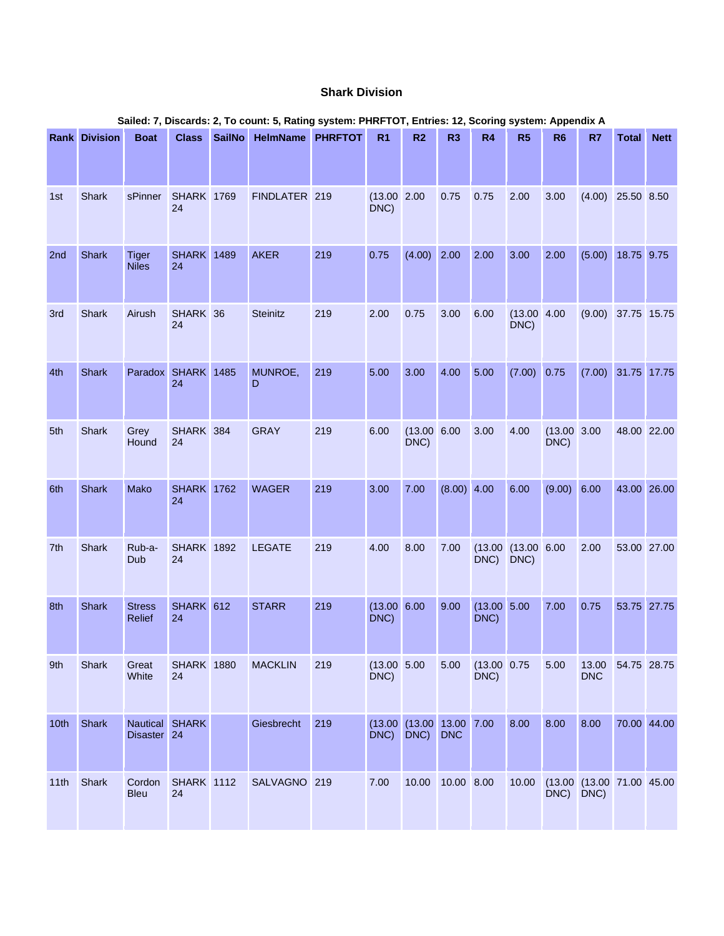## **Shark Division**

| Sailed: 7, Discards: 2, To count: 5, Rating system: PHRFTOT, Entries: 12, Scoring system: Appendix A |                      |                                |                          |               |                  |     |                         |                                   |                |                        |                               |                         |                           |              |             |
|------------------------------------------------------------------------------------------------------|----------------------|--------------------------------|--------------------------|---------------|------------------|-----|-------------------------|-----------------------------------|----------------|------------------------|-------------------------------|-------------------------|---------------------------|--------------|-------------|
|                                                                                                      | <b>Rank Division</b> | <b>Boat</b>                    | <b>Class</b>             | <b>SailNo</b> | HelmName PHRFTOT |     | R <sub>1</sub>          | R <sub>2</sub>                    | R <sub>3</sub> | <b>R4</b>              | R5                            | R <sub>6</sub>          | R7                        | <b>Total</b> | <b>Nett</b> |
| 1st                                                                                                  | Shark                | sPinner                        | <b>SHARK 1769</b><br>24  |               | FINDLATER 219    |     | (13.00 2.00<br>DNC)     |                                   | 0.75           | 0.75                   | 2.00                          | 3.00                    | $(4.00)$ 25.50 8.50       |              |             |
| 2nd                                                                                                  | Shark                | <b>Tiger</b><br><b>Niles</b>   | <b>SHARK</b> 1489<br>24  |               | <b>AKER</b>      | 219 | 0.75                    | $(4.00)$ 2.00                     |                | 2.00                   | 3.00                          | 2.00                    | (5.00)                    | 18.75 9.75   |             |
| 3rd                                                                                                  | Shark                | Airush                         | SHARK 36<br>24           |               | Steinitz         | 219 | 2.00                    | 0.75                              | 3.00           | 6.00                   | (13.00 4.00)<br>DNC)          |                         | $(9.00)$ 37.75 15.75      |              |             |
| 4th                                                                                                  | <b>Shark</b>         |                                | Paradox SHARK 1485<br>24 |               | MUNROE,<br>D     | 219 | 5.00                    | 3.00                              | 4.00           | 5.00                   | (7.00)                        | 0.75                    | $(7.00)$ 31.75 17.75      |              |             |
| 5th                                                                                                  | Shark                | Grey<br>Hound                  | SHARK 384<br>24          |               | <b>GRAY</b>      | 219 | 6.00                    | (13.00 6.00)<br>DNC)              |                | 3.00                   | 4.00                          | $(13.00 \ 3.00$<br>DNC) |                           | 48.00 22.00  |             |
| 6th                                                                                                  | <b>Shark</b>         | Mako                           | <b>SHARK</b> 1762<br>24  |               | <b>WAGER</b>     | 219 | 3.00                    | 7.00                              | (8.00) 4.00    |                        | 6.00                          | (9.00) 6.00             |                           |              | 43.00 26.00 |
| 7th                                                                                                  | Shark                | Rub-a-<br>Dub                  | <b>SHARK 1892</b><br>24  |               | <b>LEGATE</b>    | 219 | 4.00                    | 8.00                              | 7.00           | DNC)                   | $(13.00)(13.00)$ 6.00<br>DNC) |                         | 2.00                      |              | 53.00 27.00 |
| 8th                                                                                                  | <b>Shark</b>         | <b>Stress</b><br><b>Relief</b> | SHARK 612<br>24          |               | <b>STARR</b>     | 219 | $(13.00 \ 6.00$<br>DNC) |                                   | 9.00           | (13.00 5.00)<br>DNC)   |                               | 7.00                    | 0.75                      |              | 53.75 27.75 |
| 9th                                                                                                  | Shark                | Great<br>White                 | <b>SHARK 1880</b><br>24  |               | <b>MACKLIN</b>   | 219 | (13.00 5.00)<br>DNC)    |                                   | 5.00           | $(13.00)$ 0.75<br>DNC) |                               | 5.00                    | 13.00<br><b>DNC</b>       | 54.75 28.75  |             |
| 10 <sub>th</sub>                                                                                     | Shark                | Disaster 24                    | Nautical SHARK           |               | Giesbrecht       | 219 | (13.00)<br>DNC)         | $(13.00 \t 13.00 \t 7.00$<br>DNC) | <b>DNC</b>     |                        | 8.00                          | 8.00                    | 8.00                      |              | 70.00 44.00 |
| 11th                                                                                                 | Shark                | Cordon<br><b>Bleu</b>          | <b>SHARK 1112</b><br>24  |               | SALVAGNO 219     |     | 7.00                    | 10.00                             | 10.00 8.00     |                        | 10.00                         | DNC) DNC)               | (13.00 (13.00 71.00 45.00 |              |             |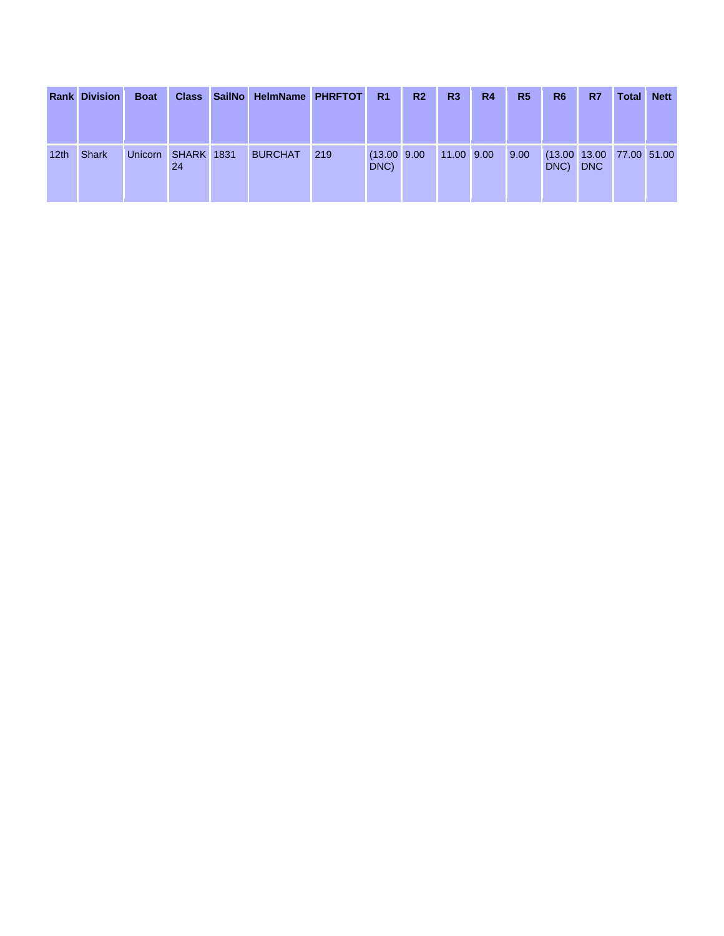|                  | <b>Rank Division</b> | <b>Boat</b> |                         | <b>Class SailNo</b> | <b>HelmName PHRFTOT</b> |     | R <sub>1</sub>         | R <sub>2</sub> | R <sub>3</sub> | R <sub>4</sub> | R <sub>5</sub> | R <sub>6</sub> | R7                                     | <b>Total</b> | <b>Nett</b> |
|------------------|----------------------|-------------|-------------------------|---------------------|-------------------------|-----|------------------------|----------------|----------------|----------------|----------------|----------------|----------------------------------------|--------------|-------------|
|                  |                      |             |                         |                     |                         |     |                        |                |                |                |                |                |                                        |              |             |
| 12 <sub>th</sub> | <b>Shark</b>         | Unicorn     | <b>SHARK 1831</b><br>24 |                     | <b>BURCHAT</b>          | 219 | $(13.00)$ 9.00<br>DNC) |                | 11.00 9.00     |                | 9.00           | DNC)           | (13.00 13.00 77.00 51.00<br><b>DNC</b> |              |             |